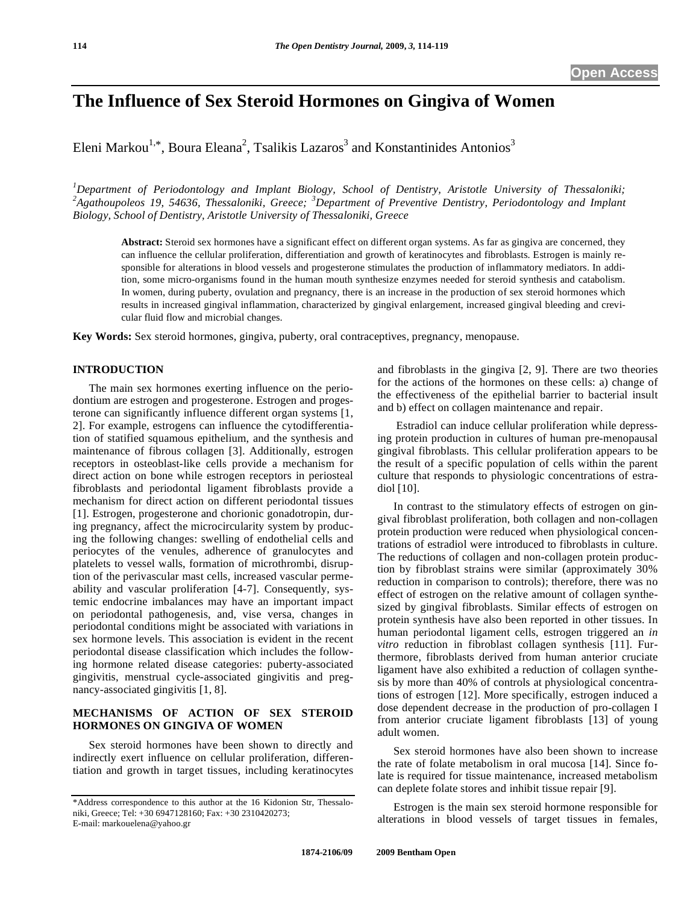# **The Influence of Sex Steroid Hormones on Gingiva of Women**

Eleni Markou<sup>1,\*</sup>, Boura Eleana<sup>2</sup>, Tsalikis Lazaros<sup>3</sup> and Konstantinides Antonios<sup>3</sup>

*1 Department of Periodontology and Implant Biology, School of Dentistry, Aristotle University of Thessaloniki;*  <sup>2</sup> Agathoupoleos 19, 54636, Thessaloniki, Greece; <sup>3</sup> Department of Preventive Dentistry, Periodontology and Implant *Biology, School of Dentistry, Aristotle University of Thessaloniki, Greece* 

**Abstract:** Steroid sex hormones have a significant effect on different organ systems. As far as gingiva are concerned, they can influence the cellular proliferation, differentiation and growth of keratinocytes and fibroblasts. Estrogen is mainly responsible for alterations in blood vessels and progesterone stimulates the production of inflammatory mediators. In addition, some micro-organisms found in the human mouth synthesize enzymes needed for steroid synthesis and catabolism. In women, during puberty, ovulation and pregnancy, there is an increase in the production of sex steroid hormones which results in increased gingival inflammation, characterized by gingival enlargement, increased gingival bleeding and crevicular fluid flow and microbial changes.

**Key Words:** Sex steroid hormones, gingiva, puberty, oral contraceptives, pregnancy, menopause.

### **INTRODUCTION**

 The main sex hormones exerting influence on the periodontium are estrogen and progesterone. Estrogen and progesterone can significantly influence different organ systems [1, 2]. For example, estrogens can influence the cytodifferentiation of statified squamous epithelium, and the synthesis and maintenance of fibrous collagen [3]. Additionally, estrogen receptors in osteoblast-like cells provide a mechanism for direct action on bone while estrogen receptors in periosteal fibroblasts and periodontal ligament fibroblasts provide a mechanism for direct action on different periodontal tissues [1]. Estrogen, progesterone and chorionic gonadotropin, during pregnancy, affect the microcircularity system by producing the following changes: swelling of endothelial cells and periocytes of the venules, adherence of granulocytes and platelets to vessel walls, formation of microthrombi, disruption of the perivascular mast cells, increased vascular permeability and vascular proliferation [4-7]. Consequently, systemic endocrine imbalances may have an important impact on periodontal pathogenesis, and, vise versa, changes in periodontal conditions might be associated with variations in sex hormone levels. This association is evident in the recent periodontal disease classification which includes the following hormone related disease categories: puberty-associated gingivitis, menstrual cycle-associated gingivitis and pregnancy-associated gingivitis [1, 8].

## **MECHANISMS OF ACTION OF SEX STEROID HORMONES ON GINGIVA OF WOMEN**

 Sex steroid hormones have been shown to directly and indirectly exert influence on cellular proliferation, differentiation and growth in target tissues, including keratinocytes

and fibroblasts in the gingiva [2, 9]. There are two theories for the actions of the hormones on these cells: a) change of the effectiveness of the epithelial barrier to bacterial insult and b) effect on collagen maintenance and repair.

 Estradiol can induce cellular proliferation while depressing protein production in cultures of human pre-menopausal gingival fibroblasts. This cellular proliferation appears to be the result of a specific population of cells within the parent culture that responds to physiologic concentrations of estradiol [10].

 In contrast to the stimulatory effects of estrogen on gingival fibroblast proliferation, both collagen and non-collagen protein production were reduced when physiological concentrations of estradiol were introduced to fibroblasts in culture. The reductions of collagen and non-collagen protein production by fibroblast strains were similar (approximately 30% reduction in comparison to controls); therefore, there was no effect of estrogen on the relative amount of collagen synthesized by gingival fibroblasts. Similar effects of estrogen on protein synthesis have also been reported in other tissues. In human periodontal ligament cells, estrogen triggered an *in vitro* reduction in fibroblast collagen synthesis [11]. Furthermore, fibroblasts derived from human anterior cruciate ligament have also exhibited a reduction of collagen synthesis by more than 40% of controls at physiological concentrations of estrogen [12]. More specifically, estrogen induced a dose dependent decrease in the production of pro-collagen I from anterior cruciate ligament fibroblasts [13] of young adult women.

 Sex steroid hormones have also been shown to increase the rate of folate metabolism in oral mucosa [14]. Since folate is required for tissue maintenance, increased metabolism can deplete folate stores and inhibit tissue repair [9].

 Estrogen is the main sex steroid hormone responsible for alterations in blood vessels of target tissues in females,

<sup>\*</sup>Address correspondence to this author at the 16 Kidonion Str, Thessaloniki, Greece; Tel: +30 6947128160; Fax: +30 2310420273; E-mail: markouelena@yahoo.gr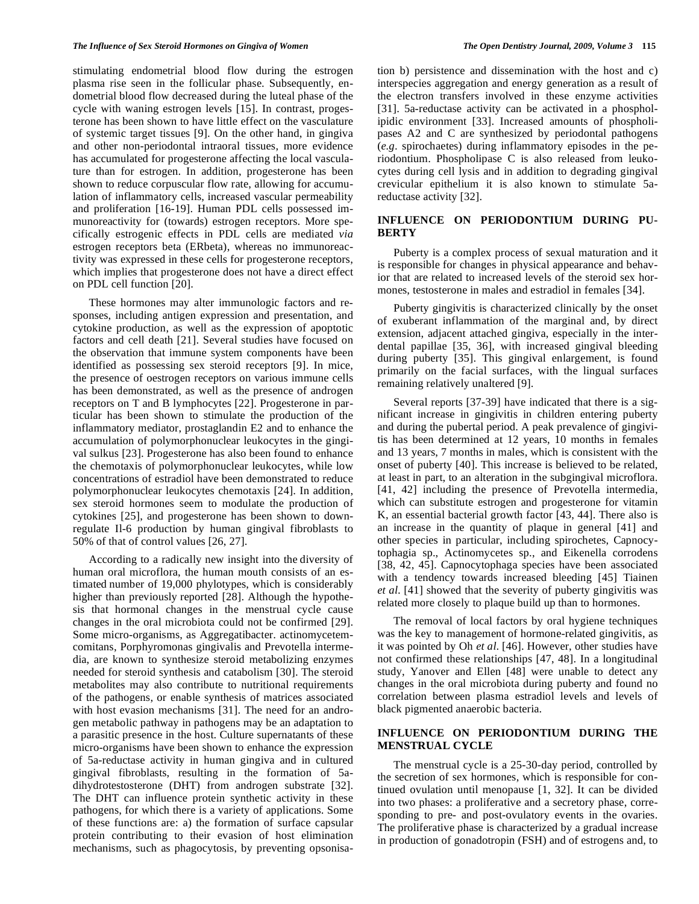stimulating endometrial blood flow during the estrogen plasma rise seen in the follicular phase. Subsequently, endometrial blood flow decreased during the luteal phase of the cycle with waning estrogen levels [15]. In contrast, progesterone has been shown to have little effect on the vasculature of systemic target tissues [9]. On the other hand, in gingiva and other non-periodontal intraoral tissues, more evidence has accumulated for progesterone affecting the local vasculature than for estrogen. In addition, progesterone has been shown to reduce corpuscular flow rate, allowing for accumulation of inflammatory cells, increased vascular permeability and proliferation [16-19]. Human PDL cells possessed immunoreactivity for (towards) estrogen receptors. More specifically estrogenic effects in PDL cells are mediated *via*  estrogen receptors beta (ERbeta), whereas no immunoreactivity was expressed in these cells for progesterone receptors, which implies that progesterone does not have a direct effect on PDL cell function [20].

 These hormones may alter immunologic factors and responses, including antigen expression and presentation, and cytokine production, as well as the expression of apoptotic factors and cell death [21]. Several studies have focused on the observation that immune system components have been identified as possessing sex steroid receptors [9]. In mice, the presence of oestrogen receptors on various immune cells has been demonstrated, as well as the presence of androgen receptors on T and B lymphocytes [22]. Progesterone in particular has been shown to stimulate the production of the inflammatory mediator, prostaglandin E2 and to enhance the accumulation of polymorphonuclear leukocytes in the gingival sulkus [23]. Progesterone has also been found to enhance the chemotaxis of polymorphonuclear leukocytes, while low concentrations of estradiol have been demonstrated to reduce polymorphonuclear leukocytes chemotaxis [24]. In addition, sex steroid hormones seem to modulate the production of cytokines [25], and progesterone has been shown to downregulate Il-6 production by human gingival fibroblasts to 50% of that of control values [26, 27].

 According to a radically new insight into the diversity of human oral microflora, the human mouth consists of an estimated number of 19,000 phylotypes, which is considerably higher than previously reported [28]. Although the hypothesis that hormonal changes in the menstrual cycle cause changes in the oral microbiota could not be confirmed [29]. Some micro-organisms, as Aggregatibacter. actinomycetemcomitans, Porphyromonas gingivalis and Prevotella intermedia, are known to synthesize steroid metabolizing enzymes needed for steroid synthesis and catabolism [30]. The steroid metabolites may also contribute to nutritional requirements of the pathogens, or enable synthesis of matrices associated with host evasion mechanisms [31]. The need for an androgen metabolic pathway in pathogens may be an adaptation to a parasitic presence in the host. Culture supernatants of these micro-organisms have been shown to enhance the expression of 5a-reductase activity in human gingiva and in cultured gingival fibroblasts, resulting in the formation of 5adihydrotestosterone (DHT) from androgen substrate [32]. The DHT can influence protein synthetic activity in these pathogens, for which there is a variety of applications. Some of these functions are: a) the formation of surface capsular protein contributing to their evasion of host elimination mechanisms, such as phagocytosis, by preventing opsonisation b) persistence and dissemination with the host and c) interspecies aggregation and energy generation as a result of the electron transfers involved in these enzyme activities [31]. 5a-reductase activity can be activated in a phospholipidic environment [33]. Increased amounts of phospholipases A2 and C are synthesized by periodontal pathogens (*e.g*. spirochaetes) during inflammatory episodes in the periodontium. Phospholipase C is also released from leukocytes during cell lysis and in addition to degrading gingival crevicular epithelium it is also known to stimulate 5areductase activity [32].

## **INFLUENCE ON PERIODONTIUM DURING PU-BERTY**

 Puberty is a complex process of sexual maturation and it is responsible for changes in physical appearance and behavior that are related to increased levels of the steroid sex hormones, testosterone in males and estradiol in females [34].

 Puberty gingivitis is characterized clinically by the onset of exuberant inflammation of the marginal and, by direct extension, adjacent attached gingiva, especially in the interdental papillae [35, 36], with increased gingival bleeding during puberty [35]. This gingival enlargement, is found primarily on the facial surfaces, with the lingual surfaces remaining relatively unaltered [9].

 Several reports [37-39] have indicated that there is a significant increase in gingivitis in children entering puberty and during the pubertal period. A peak prevalence of gingivitis has been determined at 12 years, 10 months in females and 13 years, 7 months in males, which is consistent with the onset of puberty [40]. This increase is believed to be related, at least in part, to an alteration in the subgingival microflora. [41, 42] including the presence of Prevotella intermedia, which can substitute estrogen and progesterone for vitamin K, an essential bacterial growth factor [43, 44]. There also is an increase in the quantity of plaque in general [41] and other species in particular, including spirochetes, Capnocytophagia sp., Actinomycetes sp., and Eikenella corrodens [38, 42, 45]. Capnocytophaga species have been associated with a tendency towards increased bleeding [45] Tiainen *et al*. [41] showed that the severity of puberty gingivitis was related more closely to plaque build up than to hormones.

 The removal of local factors by oral hygiene techniques was the key to management of hormone-related gingivitis, as it was pointed by Oh *et al*. [46]. However, other studies have not confirmed these relationships [47, 48]. In a longitudinal study, Yanover and Ellen [48] were unable to detect any changes in the oral microbiota during puberty and found no correlation between plasma estradiol levels and levels of black pigmented anaerobic bacteria.

## **INFLUENCE ON PERIODONTIUM DURING THE MENSTRUAL CYCLE**

 The menstrual cycle is a 25-30-day period, controlled by the secretion of sex hormones, which is responsible for continued ovulation until menopause [1, 32]. It can be divided into two phases: a proliferative and a secretory phase, corresponding to pre- and post-ovulatory events in the ovaries. The proliferative phase is characterized by a gradual increase in production of gonadotropin (FSH) and of estrogens and, to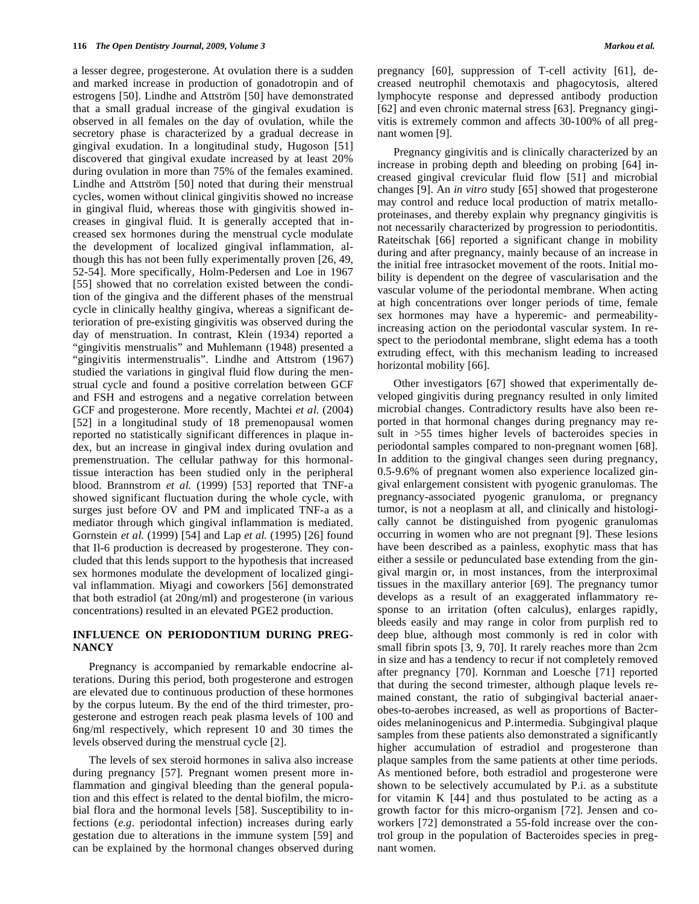a lesser degree, progesterone. At ovulation there is a sudden and marked increase in production of gonadotropin and of estrogens [50]. Lindhe and Attström [50] have demonstrated that a small gradual increase of the gingival exudation is observed in all females on the day of ovulation, while the secretory phase is characterized by a gradual decrease in gingival exudation. In a longitudinal study, Hugoson [51] discovered that gingival exudate increased by at least 20% during ovulation in more than 75% of the females examined. Lindhe and Attström [50] noted that during their menstrual cycles, women without clinical gingivitis showed no increase in gingival fluid, whereas those with gingivitis showed increases in gingival fluid. It is generally accepted that increased sex hormones during the menstrual cycle modulate the development of localized gingival inflammation, although this has not been fully experimentally proven [26, 49, 52-54]. More specifically, Holm-Pedersen and Loe in 1967 [55] showed that no correlation existed between the condition of the gingiva and the different phases of the menstrual cycle in clinically healthy gingiva, whereas a significant deterioration of pre-existing gingivitis was observed during the day of menstruation. In contrast, Klein (1934) reported a "gingivitis menstrualis" and Muhlemann (1948) presented a "gingivitis intermenstrualis". Lindhe and Attstrom (1967) studied the variations in gingival fluid flow during the menstrual cycle and found a positive correlation between GCF and FSH and estrogens and a negative correlation between GCF and progesterone. More recently, Machtei *et al.* (2004) [52] in a longitudinal study of 18 premenopausal women reported no statistically significant differences in plaque index, but an increase in gingival index during ovulation and premenstruation. The cellular pathway for this hormonaltissue interaction has been studied only in the peripheral blood. Brannstrom *et al.* (1999) [53] reported that TNF-a showed significant fluctuation during the whole cycle, with surges just before OV and PM and implicated TNF-a as a mediator through which gingival inflammation is mediated. Gornstein *et al.* (1999) [54] and Lap *et al.* (1995) [26] found that Il-6 production is decreased by progesterone. They concluded that this lends support to the hypothesis that increased sex hormones modulate the development of localized gingival inflammation. Miyagi and coworkers [56] demonstrated that both estradiol (at 20ng/ml) and progesterone (in various concentrations) resulted in an elevated PGE2 production.

#### **INFLUENCE ON PERIODONTIUM DURING PREG-NANCY**

 Pregnancy is accompanied by remarkable endocrine alterations. During this period, both progesterone and estrogen are elevated due to continuous production of these hormones by the corpus luteum. By the end of the third trimester, progesterone and estrogen reach peak plasma levels of 100 and 6ng/ml respectively, which represent 10 and 30 times the levels observed during the menstrual cycle [2].

 The levels of sex steroid hormones in saliva also increase during pregnancy [57]. Pregnant women present more inflammation and gingival bleeding than the general population and this effect is related to the dental biofilm, the microbial flora and the hormonal levels [58]. Susceptibility to infections (*e.g*. periodontal infection) increases during early gestation due to alterations in the immune system [59] and can be explained by the hormonal changes observed during pregnancy [60], suppression of T-cell activity [61], decreased neutrophil chemotaxis and phagocytosis, altered lymphocyte response and depressed antibody production [62] and even chronic maternal stress [63]. Pregnancy gingivitis is extremely common and affects 30-100% of all pregnant women [9].

 Pregnancy gingivitis and is clinically characterized by an increase in probing depth and bleeding on probing [64] increased gingival crevicular fluid flow [51] and microbial changes [9]. An *in vitro* study [65] showed that progesterone may control and reduce local production of matrix metalloproteinases, and thereby explain why pregnancy gingivitis is not necessarily characterized by progression to periodontitis. Rateitschak [66] reported a significant change in mobility during and after pregnancy, mainly because of an increase in the initial free intrasocket movement of the roots. Initial mobility is dependent on the degree of vascularisation and the vascular volume of the periodontal membrane. When acting at high concentrations over longer periods of time, female sex hormones may have a hyperemic- and permeabilityincreasing action on the periodontal vascular system. In respect to the periodontal membrane, slight edema has a tooth extruding effect, with this mechanism leading to increased horizontal mobility [66].

 Other investigators [67] showed that experimentally developed gingivitis during pregnancy resulted in only limited microbial changes. Contradictory results have also been reported in that hormonal changes during pregnancy may result in >55 times higher levels of bacteroides species in periodontal samples compared to non-pregnant women [68]. In addition to the gingival changes seen during pregnancy, 0.5-9.6% of pregnant women also experience localized gingival enlargement consistent with pyogenic granulomas. The pregnancy-associated pyogenic granuloma, or pregnancy tumor, is not a neoplasm at all, and clinically and histologically cannot be distinguished from pyogenic granulomas occurring in women who are not pregnant [9]. These lesions have been described as a painless, exophytic mass that has either a sessile or pedunculated base extending from the gingival margin or, in most instances, from the interproximal tissues in the maxillary anterior [69]. The pregnancy tumor develops as a result of an exaggerated inflammatory response to an irritation (often calculus), enlarges rapidly, bleeds easily and may range in color from purplish red to deep blue, although most commonly is red in color with small fibrin spots [3, 9, 70]. It rarely reaches more than 2cm in size and has a tendency to recur if not completely removed after pregnancy [70]. Kornman and Loesche [71] reported that during the second trimester, although plaque levels remained constant, the ratio of subgingival bacterial anaerobes-to-aerobes increased, as well as proportions of Bacteroides melaninogenicus and P.intermedia. Subgingival plaque samples from these patients also demonstrated a significantly higher accumulation of estradiol and progesterone than plaque samples from the same patients at other time periods. As mentioned before, both estradiol and progesterone were shown to be selectively accumulated by P.i. as a substitute for vitamin K [44] and thus postulated to be acting as a growth factor for this micro-organism [72]. Jensen and coworkers [72] demonstrated a 55-fold increase over the control group in the population of Bacteroides species in pregnant women.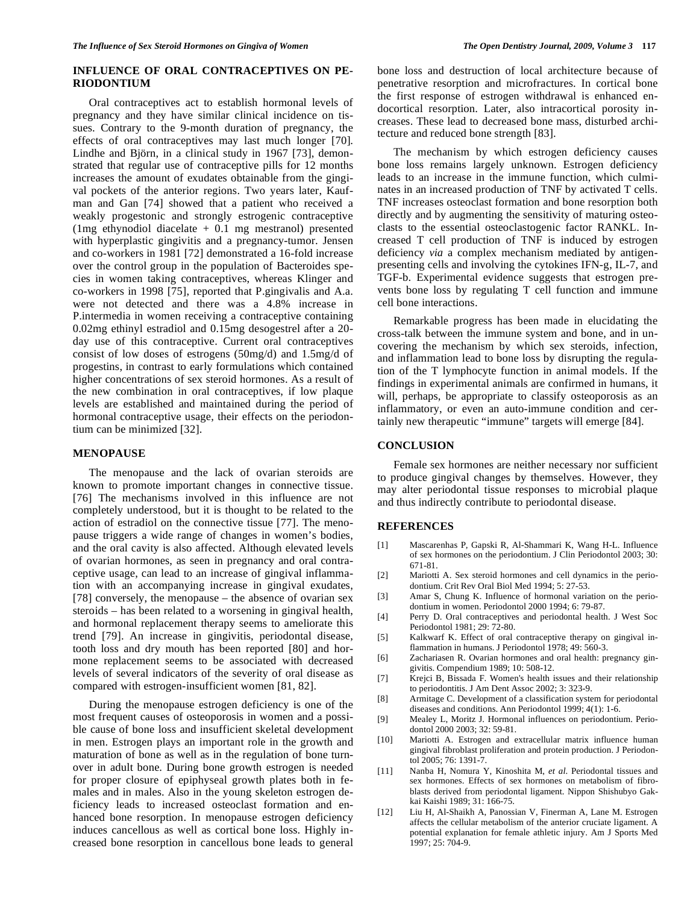## **INFLUENCE OF ORAL CONTRACEPTIVES ON PE-RIODONTIUM**

 Oral contraceptives act to establish hormonal levels of pregnancy and they have similar clinical incidence on tissues. Contrary to the 9-month duration of pregnancy, the effects of oral contraceptives may last much longer [70]. Lindhe and Björn, in a clinical study in 1967 [73], demonstrated that regular use of contraceptive pills for 12 months increases the amount of exudates obtainable from the gingival pockets of the anterior regions. Two years later, Kaufman and Gan [74] showed that a patient who received a weakly progestonic and strongly estrogenic contraceptive (1mg ethynodiol diacelate  $+$  0.1 mg mestranol) presented with hyperplastic gingivitis and a pregnancy-tumor. Jensen and co-workers in 1981 [72] demonstrated a 16-fold increase over the control group in the population of Bacteroides species in women taking contraceptives, whereas Klinger and co-workers in 1998 [75], reported that P.gingivalis and A.a. were not detected and there was a 4.8% increase in P.intermedia in women receiving a contraceptive containing 0.02mg ethinyl estradiol and 0.15mg desogestrel after a 20 day use of this contraceptive. Current oral contraceptives consist of low doses of estrogens (50mg/d) and 1.5mg/d of progestins, in contrast to early formulations which contained higher concentrations of sex steroid hormones. As a result of the new combination in oral contraceptives, if low plaque levels are established and maintained during the period of hormonal contraceptive usage, their effects on the periodontium can be minimized [32].

#### **MENOPAUSE**

 The menopause and the lack of ovarian steroids are known to promote important changes in connective tissue. [76] The mechanisms involved in this influence are not completely understood, but it is thought to be related to the action of estradiol on the connective tissue [77]. The menopause triggers a wide range of changes in women's bodies, and the oral cavity is also affected. Although elevated levels of ovarian hormones, as seen in pregnancy and oral contraceptive usage, can lead to an increase of gingival inflammation with an accompanying increase in gingival exudates, [78] conversely, the menopause – the absence of ovarian sex steroids – has been related to a worsening in gingival health, and hormonal replacement therapy seems to ameliorate this trend [79]. An increase in gingivitis, periodontal disease, tooth loss and dry mouth has been reported [80] and hormone replacement seems to be associated with decreased levels of several indicators of the severity of oral disease as compared with estrogen-insufficient women [81, 82].

 During the menopause estrogen deficiency is one of the most frequent causes of osteoporosis in women and a possible cause of bone loss and insufficient skeletal development in men. Estrogen plays an important role in the growth and maturation of bone as well as in the regulation of bone turnover in adult bone. During bone growth estrogen is needed for proper closure of epiphyseal growth plates both in females and in males. Also in the young skeleton estrogen deficiency leads to increased osteoclast formation and enhanced bone resorption. In menopause estrogen deficiency induces cancellous as well as cortical bone loss. Highly increased bone resorption in cancellous bone leads to general

bone loss and destruction of local architecture because of penetrative resorption and microfractures. In cortical bone the first response of estrogen withdrawal is enhanced endocortical resorption. Later, also intracortical porosity increases. These lead to decreased bone mass, disturbed architecture and reduced bone strength [83].

 The mechanism by which estrogen deficiency causes bone loss remains largely unknown. Estrogen deficiency leads to an increase in the immune function, which culminates in an increased production of TNF by activated T cells. TNF increases osteoclast formation and bone resorption both directly and by augmenting the sensitivity of maturing osteoclasts to the essential osteoclastogenic factor RANKL. Increased T cell production of TNF is induced by estrogen deficiency *via* a complex mechanism mediated by antigenpresenting cells and involving the cytokines IFN-g, IL-7, and TGF-b. Experimental evidence suggests that estrogen prevents bone loss by regulating T cell function and immune cell bone interactions.

 Remarkable progress has been made in elucidating the cross-talk between the immune system and bone, and in uncovering the mechanism by which sex steroids, infection, and inflammation lead to bone loss by disrupting the regulation of the T lymphocyte function in animal models. If the findings in experimental animals are confirmed in humans, it will, perhaps, be appropriate to classify osteoporosis as an inflammatory, or even an auto-immune condition and certainly new therapeutic "immune" targets will emerge [84].

#### **CONCLUSION**

 Female sex hormones are neither necessary nor sufficient to produce gingival changes by themselves. However, they may alter periodontal tissue responses to microbial plaque and thus indirectly contribute to periodontal disease.

#### **REFERENCES**

- [1] Mascarenhas P, Gapski R, Al-Shammari K, Wang H-L. Influence of sex hormones on the periodontium. J Clin Periodontol 2003; 30: 671-81.
- [2] Mariotti A. Sex steroid hormones and cell dynamics in the periodontium. Crit Rev Oral Biol Med 1994; 5: 27-53.
- [3] Amar S, Chung K. Influence of hormonal variation on the periodontium in women. Periodontol 2000 1994; 6: 79-87.
- [4] Perry D. Oral contraceptives and periodontal health. J West Soc Periodontol 1981; 29: 72-80.
- [5] Kalkwarf K. Effect of oral contraceptive therapy on gingival inflammation in humans. J Periodontol 1978; 49: 560-3.
- [6] Zachariasen R. Ovarian hormones and oral health: pregnancy gingivitis. Compendium 1989; 10: 508-12.
- [7] Krejci B, Bissada F. Women's health issues and their relationship to periodontitis. J Am Dent Assoc 2002; 3: 323-9.
- [8] Armitage C. Development of a classification system for periodontal diseases and conditions. Ann Periodontol 1999; 4(1): 1-6.
- [9] Mealey L, Moritz J. Hormonal influences on periodontium. Periodontol 2000 2003; 32: 59-81.
- [10] Mariotti A. Estrogen and extracellular matrix influence human gingival fibroblast proliferation and protein production. J Periodontol 2005; 76: 1391-7.
- [11] Nanba H, Nomura Y, Kinoshita M, *et al*. Periodontal tissues and sex hormones. Effects of sex hormones on metabolism of fibroblasts derived from periodontal ligament. Nippon Shishubyo Gakkai Kaishi 1989; 31: 166-75.
- [12] Liu H, Al-Shaikh A, Panossian V, Finerman A, Lane M. Estrogen affects the cellular metabolism of the anterior cruciate ligament. A potential explanation for female athletic injury. Am J Sports Med 1997; 25: 704-9.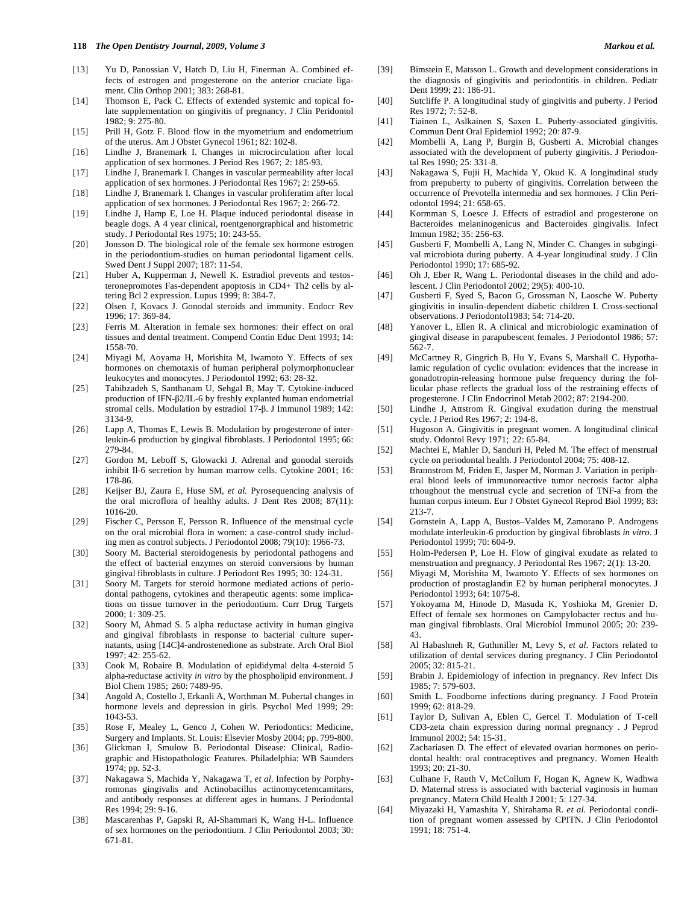- [13] Yu D, Panossian V, Hatch D, Liu H, Finerman A. Combined effects of estrogen and progesterone on the anterior cruciate ligament. Clin Orthop 2001; 383: 268-81.
- [14] Thomson E, Pack C. Effects of extended systemic and topical folate supplementation on gingivitis of pregnancy. J Clin Peridontol 1982; 9: 275-80.
- [15] Prill H, Gotz F. Blood flow in the myometrium and endometrium of the uterus. Am J Obstet Gynecol 1961; 82: 102-8.
- [16] Lindhe J, Branemark I. Changes in microcirculation after local application of sex hormones. J Period Res 1967; 2: 185-93.
- [17] Lindhe J, Branemark I. Changes in vascular permeability after local application of sex hormones. J Periodontal Res 1967; 2: 259-65.
- [18] Lindhe J, Branemark I. Changes in vascular proliferatim after local application of sex hormones. J Periodontal Res 1967; 2: 266-72.
- [19] Lindhe J, Hamp E, Loe H. Plaque induced periodontal disease in beagle dogs. A 4 year clinical, roentgenorgraphical and histometric study. J Periodontal Res 1975; 10: 243-55.
- [20] Jonsson D. The biological role of the female sex hormone estrogen in the periodontium-studies on human periodontal ligament cells. Swed Dent J Suppl 2007; 187: 11-54.
- [21] Huber A, Kupperman J, Newell K. Estradiol prevents and testosteronepromotes Fas-dependent apoptosis in CD4+ Th2 cells by altering Bcl 2 expression. Lupus 1999; 8: 384-7.
- [22] Olsen J, Kovacs J. Gonodal steroids and immunity. Endocr Rev 1996; 17: 369-84.
- [23] Ferris M. Alteration in female sex hormones: their effect on oral tissues and dental treatment. Compend Contin Educ Dent 1993; 14: 1558-70.
- [24] Miyagi M, Aoyama H, Morishita M, Iwamoto Y. Effects of sex hormones on chemotaxis of human peripheral polymorphonuclear leukocytes and monocytes. J Periodontol 1992; 63: 28-32.
- [25] Tabibzadeh S, Santhanam U, Sehgal B, May T. Cytokine-induced production of IFN- $\beta$ 2/IL-6 by freshly explanted human endometrial stromal cells. Modulation by estradiol 17-β. J Immunol 1989; 142: 3134-9.
- [26] Lapp A, Thomas E, Lewis B. Modulation by progesterone of interleukin-6 production by gingival fibroblasts. J Periodontol 1995; 66: 279-84.
- [27] Gordon M, Leboff S, Glowacki J. Adrenal and gonodal steroids inhibit Il-6 secretion by human marrow cells. Cytokine 2001; 16: 178-86.
- [28] Keijser BJ, Zaura E, Huse SM, *et al.* Pyrosequencing analysis of the oral microflora of healthy adults. J Dent Res 2008; 87(11): 1016-20.
- [29] Fischer C, Persson E, Persson R. Influence of the menstrual cycle on the oral microbial flora in women: a case-control study including men as control subjects. J Periodontol 2008; 79(10): 1966-73.
- [30] Soory M. Bacterial steroidogenesis by periodontal pathogens and the effect of bacterial enzymes on steroid conversions by human gingival fibroblasts in culture. J Periodont Res 1995; 30: 124-31.
- [31] Soory M. Targets for steroid hormone mediated actions of periodontal pathogens, cytokines and therapeutic agents: some implications on tissue turnover in the periodontium. Curr Drug Targets 2000; 1: 309-25.
- [32] Soory M, Ahmad S. 5 alpha reductase activity in human gingiva and gingival fibroblasts in response to bacterial culture supernatants, using [14C]4-androstenedione as substrate. Arch Oral Biol 1997; 42: 255-62.
- [33] Cook M, Robaire B. Modulation of epididymal delta 4-steroid 5 alpha-reductase activity *in vitro* by the phospholipid environment. J Biol Chem 1985; 260: 7489-95.
- [34] Angold A, Costello J, Erkanli A, Worthman M. Pubertal changes in hormone levels and depression in girls. Psychol Med 1999; 29: 1043-53.
- [35] Rose F, Mealey L, Genco J, Cohen W. Periodontics: Medicine, Surgery and Implants. St. Louis: Elsevier Mosby 2004; pp. 799-800.
- [36] Glickman I, Smulow B. Periodontal Disease: Clinical, Radiographic and Histopathologic Features. Philadelphia: WB Saunders 1974; pp. 52-3.
- [37] Nakagawa S, Machida Y, Nakagawa T, *et al*. Infection by Porphyromonas gingivalis and Actinobacillus actinomycetemcamitans, and antibody responses at different ages in humans. J Periodontal Res 1994; 29: 9-16.
- [38] Mascarenhas P, Gapski R, Al-Shammari K, Wang H-L. Influence of sex hormones on the periodontium. J Clin Periodontol 2003; 30: 671-81.
- [39] Bimstein E, Matsson L. Growth and development considerations in the diagnosis of gingivitis and periodontitis in children. Pediatr Dent 1999; 21: 186-91.
- [40] Sutcliffe P. A longitudinal study of gingivitis and puberty. J Period Res 1972; 7: 52-8.
- [41] Tiainen L, Aslkainen S, Saxen L. Puberty-associated gingivitis. Commun Dent Oral Epidemiol 1992; 20: 87-9.
- [42] Mombelli A, Lang P, Burgin B, Gusberti A. Microbial changes associated with the development of puberty gingivitis. J Periodontal Res 1990; 25: 331-8.
- [43] Nakagawa S, Fujii H, Machida Y, Okud K. A longitudinal study from prepuberty to puberty of gingivitis. Correlation between the occurrence of Prevotella intermedia and sex hormones. J Clin Periodontol 1994; 21: 658-65.
- [44] Kormman S, Loesce J. Effects of estradiol and progesterone on Bacteroides melaninogenicus and Bacteroides gingivalis. Infect Immun 1982; 35: 256-63.
- [45] Gusberti F, Mombelli A, Lang N, Minder C. Changes in subgingival microbiota during puberty. A 4-year longitudinal study. J Clin Periodontol 1990; 17: 685-92.
- [46] Oh J, Eber R, Wang L. Periodontal diseases in the child and adolescent. J Clin Periodontol 2002; 29(5): 400-10.
- [47] Gusberti F, Syed S, Bacon G, Grossman N, Laosche W. Puberty gingivitis in insulin-dependent diabetic children I. Cross-sectional observations. J Periodontol1983; 54: 714-20.
- [48] Yanover L, Ellen R. A clinical and microbiologic examination of gingival disease in parapubescent females. J Periodontol 1986; 57: 562-7.
- [49] McCartney R, Gingrich B, Hu Y, Evans S, Marshall C. Hypothalamic regulation of cyclic ovulation: evidences that the increase in gonadotropin-releasing hormone pulse frequency during the follicular phase reflects the gradual loss of the restraining effects of progesterone. J Clin Endocrinol Metab 2002; 87: 2194-200.
- [50] Lindhe J, Attstrom R. Gingival exudation during the menstrual cycle. J Period Res 1967; 2: 194-8.
- [51] Hugoson A. Gingivitis in pregnant women. A longitudinal clinical study. Odontol Revy 1971; 22: 65-84.
- [52] Machtei E, Mahler D, Sanduri H, Peled M. The effect of menstrual cycle on periodontal health. J Periodontol 2004; 75: 408-12.
- [53] Brannstrom M, Friden E, Jasper M, Norman J. Variation in peripheral blood leels of immunoreactive tumor necrosis factor alpha trhoughout the menstrual cycle and secretion of TNF-a from the human corpus inteum. Eur J Obstet Gynecol Reprod Biol 1999; 83: 213-7.
- [54] Gornstein A, Lapp A, Bustos–Valdes M, Zamorano P. Androgens modulate interleukin-6 production by gingival fibroblasts *in vitro*. J Periodontol 1999; 70: 604-9.
- [55] Holm-Pedersen P, Loe H. Flow of gingival exudate as related to menstruation and pregnancy. J Periodontal Res 1967; 2(1): 13-20.
- [56] Miyagi M, Morishita M, Iwamoto Y. Effects of sex hormones on production of prostaglandin E2 by human peripheral monocytes. J Periodontol 1993; 64: 1075-8.
- [57] Yokoyama M, Hinode D, Masuda K, Yoshioka M, Grenier D. Effect of female sex hormones on Campylobacter rectus and human gingival fibroblasts. Oral Microbiol Immunol 2005; 20: 239- 43.
- [58] Al Habashneh R, Guthmiller M, Levy S, *et al*. Factors related to utilization of dental services during pregnancy. J Clin Periodontol 2005; 32: 815-21.
- [59] Brabin J. Epidemiology of infection in pregnancy. Rev Infect Dis 1985; 7: 579-603.
- [60] Smith L. Foodborne infections during pregnancy. J Food Protein 1999; 62: 818-29.
- [61] Taylor D, Sulivan A, Eblen C, Gercel T. Modulation of T-cell CD3-zeta chain expression during normal pregnancy . J Peprod Immunol 2002; 54: 15-31.
- [62] Zachariasen D. The effect of elevated ovarian hormones on periodontal health: oral contraceptives and pregnancy. Women Health 1993; 20: 21-30.
- [63] Culhane F, Rauth V, McCollum F, Hogan K, Agnew K, Wadhwa D. Maternal stress is associated with bacterial vaginosis in human pregnancy. Matern Child Health J 2001; 5: 127-34.
- [64] Miyazaki H, Yamashita Y, Shirahama R. *et al.* Periodontal condition of pregnant women assessed by CPITN. J Clin Periodontol 1991; 18: 751-4.